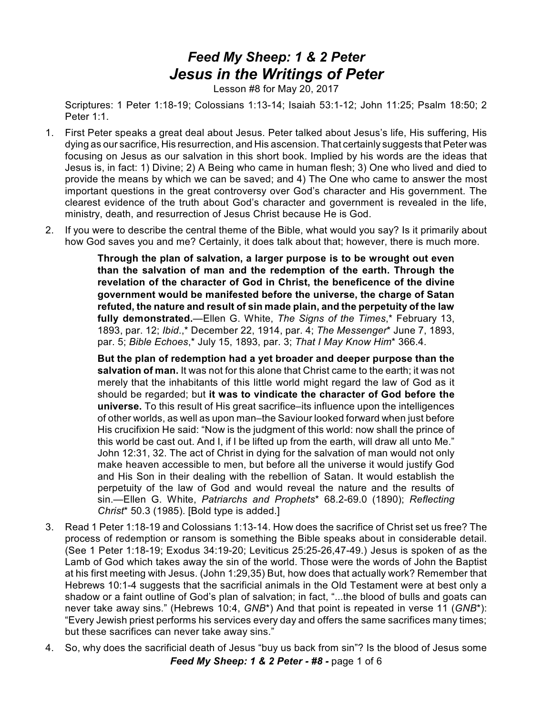## *Feed My Sheep: 1 & 2 Peter Jesus in the Writings of Peter*

Lesson #8 for May 20, 2017

Scriptures: 1 Peter 1:18-19; Colossians 1:13-14; Isaiah 53:1-12; John 11:25; Psalm 18:50; 2 Peter 1<sup>-1</sup>

- 1. First Peter speaks a great deal about Jesus. Peter talked about Jesus's life, His suffering, His dying as our sacrifice, His resurrection, and His ascension. That certainly suggests that Peter was focusing on Jesus as our salvation in this short book. Implied by his words are the ideas that Jesus is, in fact: 1) Divine; 2) A Being who came in human flesh; 3) One who lived and died to provide the means by which we can be saved; and 4) The One who came to answer the most important questions in the great controversy over God's character and His government. The clearest evidence of the truth about God's character and government is revealed in the life, ministry, death, and resurrection of Jesus Christ because He is God.
- 2. If you were to describe the central theme of the Bible, what would you say? Is it primarily about how God saves you and me? Certainly, it does talk about that; however, there is much more.

**Through the plan of salvation, a larger purpose is to be wrought out even than the salvation of man and the redemption of the earth. Through the revelation of the character of God in Christ, the beneficence of the divine government would be manifested before the universe, the charge of Satan refuted, the nature and result of sin made plain, and the perpetuity of the law fully demonstrated.**—Ellen G. White, *The Signs of the Times*,\* February 13, 1893, par. 12; *Ibid*.,\* December 22, 1914, par. 4; *The Messenger*\* June 7, 1893, par. 5; *Bible Echoes*,\* July 15, 1893, par. 3; *That I May Know Him*\* 366.4.

**But the plan of redemption had a yet broader and deeper purpose than the salvation of man.** It was not for this alone that Christ came to the earth; it was not merely that the inhabitants of this little world might regard the law of God as it should be regarded; but **it was to vindicate the character of God before the universe.** To this result of His great sacrifice–its influence upon the intelligences of other worlds, as well as upon man–the Saviour looked forward when just before His crucifixion He said: "Now is the judgment of this world: now shall the prince of this world be cast out. And I, if I be lifted up from the earth, will draw all unto Me." John 12:31, 32. The act of Christ in dying for the salvation of man would not only make heaven accessible to men, but before all the universe it would justify God and His Son in their dealing with the rebellion of Satan. It would establish the perpetuity of the law of God and would reveal the nature and the results of sin.—Ellen G. White, *Patriarchs and Prophets*\* 68.2-69.0 (1890); *Reflecting Christ*\* 50.3 (1985). [Bold type is added.]

- 3. Read 1 Peter 1:18-19 and Colossians 1:13-14. How does the sacrifice of Christ set us free? The process of redemption or ransom is something the Bible speaks about in considerable detail. (See 1 Peter 1:18-19; Exodus 34:19-20; Leviticus 25:25-26,47-49.) Jesus is spoken of as the Lamb of God which takes away the sin of the world. Those were the words of John the Baptist at his first meeting with Jesus. (John 1:29,35) But, how does that actually work? Remember that Hebrews 10:1-4 suggests that the sacrificial animals in the Old Testament were at best only a shadow or a faint outline of God's plan of salvation; in fact, "...the blood of bulls and goats can never take away sins." (Hebrews 10:4, *GNB*\*) And that point is repeated in verse 11 (*GNB*\*): "Every Jewish priest performs his services every day and offers the same sacrifices many times; but these sacrifices can never take away sins."
- 4. So, why does the sacrificial death of Jesus "buy us back from sin"? Is the blood of Jesus some *Feed My Sheep: 1 & 2 Peter - #8 -* page 1 of 6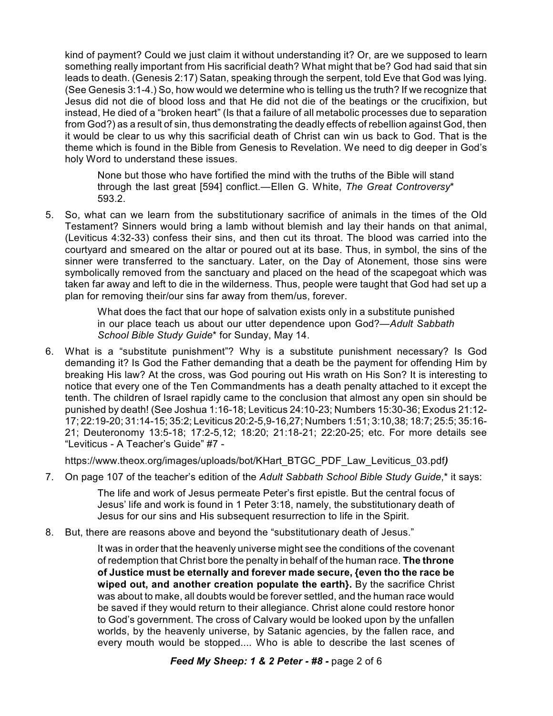kind of payment? Could we just claim it without understanding it? Or, are we supposed to learn something really important from His sacrificial death? What might that be? God had said that sin leads to death. (Genesis 2:17) Satan, speaking through the serpent, told Eve that God was lying. (See Genesis 3:1-4.) So, how would we determine who is telling us the truth? If we recognize that Jesus did not die of blood loss and that He did not die of the beatings or the crucifixion, but instead, He died of a "broken heart" (Is that a failure of all metabolic processes due to separation from God?) as a result of sin, thus demonstrating the deadly effects of rebellion against God, then it would be clear to us why this sacrificial death of Christ can win us back to God. That is the theme which is found in the Bible from Genesis to Revelation. We need to dig deeper in God's holy Word to understand these issues.

None but those who have fortified the mind with the truths of the Bible will stand through the last great [594] conflict.—Ellen G. White, *The Great Controversy*\* 593.2.

5. So, what can we learn from the substitutionary sacrifice of animals in the times of the Old Testament? Sinners would bring a lamb without blemish and lay their hands on that animal, (Leviticus 4:32-33) confess their sins, and then cut its throat. The blood was carried into the courtyard and smeared on the altar or poured out at its base. Thus, in symbol, the sins of the sinner were transferred to the sanctuary. Later, on the Day of Atonement, those sins were symbolically removed from the sanctuary and placed on the head of the scapegoat which was taken far away and left to die in the wilderness. Thus, people were taught that God had set up a plan for removing their/our sins far away from them/us, forever.

> What does the fact that our hope of salvation exists only in a substitute punished in our place teach us about our utter dependence upon God?—*Adult Sabbath School Bible Study Guide*\* for Sunday, May 14.

6. What is a "substitute punishment"? Why is a substitute punishment necessary? Is God demanding it? Is God the Father demanding that a death be the payment for offending Him by breaking His law? At the cross, was God pouring out His wrath on His Son? It is interesting to notice that every one of the Ten Commandments has a death penalty attached to it except the tenth. The children of Israel rapidly came to the conclusion that almost any open sin should be punished by death! (See Joshua 1:16-18; Leviticus 24:10-23; Numbers 15:30-36; Exodus 21:12- 17; 22:19-20; 31:14-15; 35:2; Leviticus 20:2-5,9-16,27; Numbers 1:51; 3:10,38; 18:7; 25:5; 35:16- 21; Deuteronomy 13:5-18; 17:2-5,12; 18:20; 21:18-21; 22:20-25; etc. For more details see "Leviticus - A Teacher's Guide" #7 -

https://www.theox.org/images/uploads/bot/KHart\_BTGC\_PDF\_Law\_Leviticus\_03.pdf*)*

7. On page 107 of the teacher's edition of the *Adult Sabbath School Bible Study Guide*,\* it says:

The life and work of Jesus permeate Peter's first epistle. But the central focus of Jesus' life and work is found in 1 Peter 3:18, namely, the substitutionary death of Jesus for our sins and His subsequent resurrection to life in the Spirit.

8. But, there are reasons above and beyond the "substitutionary death of Jesus."

It was in order that the heavenly universe might see the conditions of the covenant of redemption that Christ bore the penalty in behalf of the human race. **The throne of Justice must be eternally and forever made secure, {even tho the race be wiped out, and another creation populate the earth}.** By the sacrifice Christ was about to make, all doubts would be forever settled, and the human race would be saved if they would return to their allegiance. Christ alone could restore honor to God's government. The cross of Calvary would be looked upon by the unfallen worlds, by the heavenly universe, by Satanic agencies, by the fallen race, and every mouth would be stopped.... Who is able to describe the last scenes of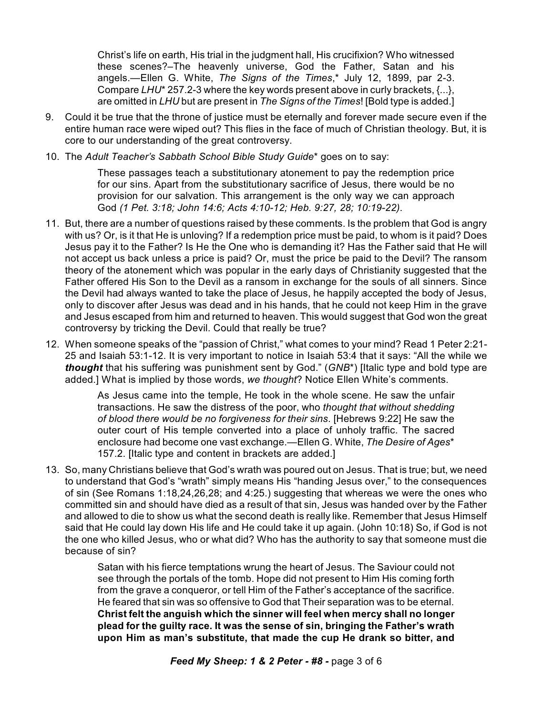Christ's life on earth, His trial in the judgment hall, His crucifixion? Who witnessed these scenes?–The heavenly universe, God the Father, Satan and his angels.—Ellen G. White, *The Signs of the Times*,\* July 12, 1899, par 2-3. Compare *LHU*\* 257.2-3 where the key words present above in curly brackets, {...}, are omitted in *LHU* but are present in *The Signs of the Times*! [Bold type is added.]

- 9. Could it be true that the throne of justice must be eternally and forever made secure even if the entire human race were wiped out? This flies in the face of much of Christian theology. But, it is core to our understanding of the great controversy.
- 10. The *Adult Teacher's Sabbath School Bible Study Guide*\* goes on to say:

These passages teach a substitutionary atonement to pay the redemption price for our sins. Apart from the substitutionary sacrifice of Jesus, there would be no provision for our salvation. This arrangement is the only way we can approach God *(1 Pet. 3:18; John 14:6; Acts 4:10-12; Heb. 9:27, 28; 10:19-22)*.

- 11. But, there are a number of questions raised by these comments. Is the problem that God is angry with us? Or, is it that He is unloving? If a redemption price must be paid, to whom is it paid? Does Jesus pay it to the Father? Is He the One who is demanding it? Has the Father said that He will not accept us back unless a price is paid? Or, must the price be paid to the Devil? The ransom theory of the atonement which was popular in the early days of Christianity suggested that the Father offered His Son to the Devil as a ransom in exchange for the souls of all sinners. Since the Devil had always wanted to take the place of Jesus, he happily accepted the body of Jesus, only to discover after Jesus was dead and in his hands, that he could not keep Him in the grave and Jesus escaped from him and returned to heaven. This would suggest that God won the great controversy by tricking the Devil. Could that really be true?
- 12. When someone speaks of the "passion of Christ," what comes to your mind? Read 1 Peter 2:21- 25 and Isaiah 53:1-12. It is very important to notice in Isaiah 53:4 that it says: "All the while we *thought* that his suffering was punishment sent by God." (*GNB*\*) [Italic type and bold type are added.] What is implied by those words, *we thought*? Notice Ellen White's comments.

As Jesus came into the temple, He took in the whole scene. He saw the unfair transactions. He saw the distress of the poor, who *thought that without shedding of blood there would be no forgiveness for their sins*. [Hebrews 9:22] He saw the outer court of His temple converted into a place of unholy traffic. The sacred enclosure had become one vast exchange.—Ellen G. White, *The Desire of Ages*\* 157.2. [Italic type and content in brackets are added.]

13. So, many Christians believe that God's wrath was poured out on Jesus. That is true; but, we need to understand that God's "wrath" simply means His "handing Jesus over," to the consequences of sin (See Romans 1:18,24,26,28; and 4:25.) suggesting that whereas we were the ones who committed sin and should have died as a result of that sin, Jesus was handed over by the Father and allowed to die to show us what the second death is really like. Remember that Jesus Himself said that He could lay down His life and He could take it up again. (John 10:18) So, if God is not the one who killed Jesus, who or what did? Who has the authority to say that someone must die because of sin?

> Satan with his fierce temptations wrung the heart of Jesus. The Saviour could not see through the portals of the tomb. Hope did not present to Him His coming forth from the grave a conqueror, or tell Him of the Father's acceptance of the sacrifice. He feared that sin was so offensive to God that Their separation was to be eternal. **Christ felt the anguish which the sinner will feel when mercy shall no longer plead for the guilty race. It was the sense of sin, bringing the Father's wrath upon Him as man's substitute, that made the cup He drank so bitter, and**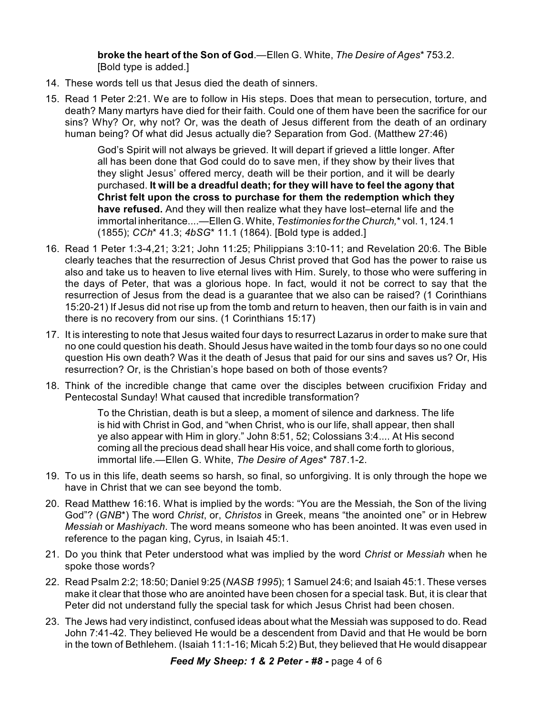**broke the heart of the Son of God**.—Ellen G. White, *The Desire of Ages*\* 753.2. [Bold type is added.]

- 14. These words tell us that Jesus died the death of sinners.
- 15. Read 1 Peter 2:21. We are to follow in His steps. Does that mean to persecution, torture, and death? Many martyrs have died for their faith. Could one of them have been the sacrifice for our sins? Why? Or, why not? Or, was the death of Jesus different from the death of an ordinary human being? Of what did Jesus actually die? Separation from God. (Matthew 27:46)

God's Spirit will not always be grieved. It will depart if grieved a little longer. After all has been done that God could do to save men, if they show by their lives that they slight Jesus' offered mercy, death will be their portion, and it will be dearly purchased. **It will be a dreadful death; for they will have to feel the agony that Christ felt upon the cross to purchase for them the redemption which they have refused.** And they will then realize what they have lost–eternal life and the immortal inheritance....—Ellen G. White, *Testimonies for the Church,*\* vol. 1, 124.1 (1855); *CCh*\* 41.3; *4bSG*\* 11.1 (1864). [Bold type is added.]

- 16. Read 1 Peter 1:3-4,21; 3:21; John 11:25; Philippians 3:10-11; and Revelation 20:6. The Bible clearly teaches that the resurrection of Jesus Christ proved that God has the power to raise us also and take us to heaven to live eternal lives with Him. Surely, to those who were suffering in the days of Peter, that was a glorious hope. In fact, would it not be correct to say that the resurrection of Jesus from the dead is a guarantee that we also can be raised? (1 Corinthians 15:20-21) If Jesus did not rise up from the tomb and return to heaven, then our faith is in vain and there is no recovery from our sins. (1 Corinthians 15:17)
- 17. It is interesting to note that Jesus waited four days to resurrect Lazarus in order to make sure that no one could question his death. Should Jesus have waited in the tomb four days so no one could question His own death? Was it the death of Jesus that paid for our sins and saves us? Or, His resurrection? Or, is the Christian's hope based on both of those events?
- 18. Think of the incredible change that came over the disciples between crucifixion Friday and Pentecostal Sunday! What caused that incredible transformation?

To the Christian, death is but a sleep, a moment of silence and darkness. The life is hid with Christ in God, and "when Christ, who is our life, shall appear, then shall ye also appear with Him in glory." John 8:51, 52; Colossians 3:4.... At His second coming all the precious dead shall hear His voice, and shall come forth to glorious, immortal life.—Ellen G. White, *The Desire of Ages*\* 787.1-2.

- 19. To us in this life, death seems so harsh, so final, so unforgiving. It is only through the hope we have in Christ that we can see beyond the tomb.
- 20. Read Matthew 16:16. What is implied by the words: "You are the Messiah, the Son of the living God"? (*GNB*\*) The word *Christ*, or, *Christos* in Greek, means "the anointed one" or in Hebrew *Messiah* or *Mashiyach*. The word means someone who has been anointed. It was even used in reference to the pagan king, Cyrus, in Isaiah 45:1.
- 21. Do you think that Peter understood what was implied by the word *Christ* or *Messiah* when he spoke those words?
- 22. Read Psalm 2:2; 18:50; Daniel 9:25 (*NASB 1995*); 1 Samuel 24:6; and Isaiah 45:1. These verses make it clear that those who are anointed have been chosen for a special task. But, it is clear that Peter did not understand fully the special task for which Jesus Christ had been chosen.
- 23. The Jews had very indistinct, confused ideas about what the Messiah was supposed to do. Read John 7:41-42. They believed He would be a descendent from David and that He would be born in the town of Bethlehem. (Isaiah 11:1-16; Micah 5:2) But, they believed that He would disappear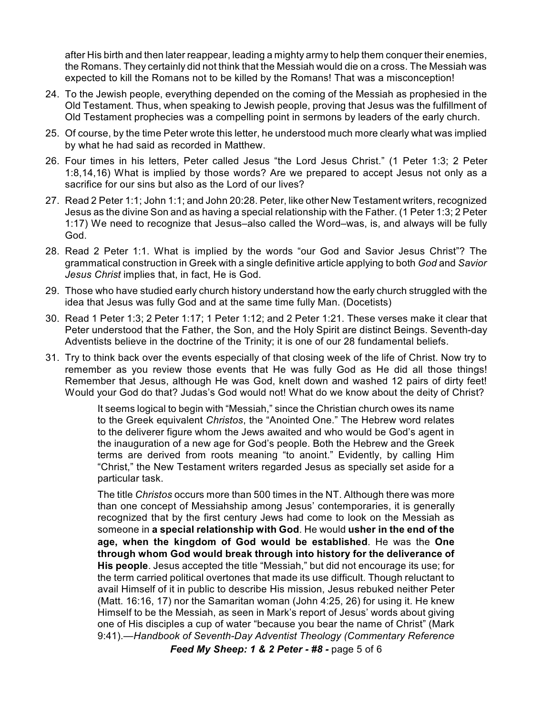after His birth and then later reappear, leading a mighty army to help them conquer their enemies, the Romans. They certainly did not think that the Messiah would die on a cross. The Messiah was expected to kill the Romans not to be killed by the Romans! That was a misconception!

- 24. To the Jewish people, everything depended on the coming of the Messiah as prophesied in the Old Testament. Thus, when speaking to Jewish people, proving that Jesus was the fulfillment of Old Testament prophecies was a compelling point in sermons by leaders of the early church.
- 25. Of course, by the time Peter wrote this letter, he understood much more clearly what was implied by what he had said as recorded in Matthew.
- 26. Four times in his letters, Peter called Jesus "the Lord Jesus Christ." (1 Peter 1:3; 2 Peter 1:8,14,16) What is implied by those words? Are we prepared to accept Jesus not only as a sacrifice for our sins but also as the Lord of our lives?
- 27. Read 2 Peter 1:1; John 1:1; and John 20:28. Peter, like other New Testament writers, recognized Jesus as the divine Son and as having a special relationship with the Father. (1 Peter 1:3; 2 Peter 1:17) We need to recognize that Jesus–also called the Word–was, is, and always will be fully God.
- 28. Read 2 Peter 1:1. What is implied by the words "our God and Savior Jesus Christ"? The grammatical construction in Greek with a single definitive article applying to both *God* and *Savior Jesus Christ* implies that, in fact, He is God.
- 29. Those who have studied early church history understand how the early church struggled with the idea that Jesus was fully God and at the same time fully Man. (Docetists)
- 30. Read 1 Peter 1:3; 2 Peter 1:17; 1 Peter 1:12; and 2 Peter 1:21. These verses make it clear that Peter understood that the Father, the Son, and the Holy Spirit are distinct Beings. Seventh-day Adventists believe in the doctrine of the Trinity; it is one of our 28 fundamental beliefs.
- 31. Try to think back over the events especially of that closing week of the life of Christ. Now try to remember as you review those events that He was fully God as He did all those things! Remember that Jesus, although He was God, knelt down and washed 12 pairs of dirty feet! Would your God do that? Judas's God would not! What do we know about the deity of Christ?

It seems logical to begin with "Messiah," since the Christian church owes its name to the Greek equivalent *Christos*, the "Anointed One." The Hebrew word relates to the deliverer figure whom the Jews awaited and who would be God's agent in the inauguration of a new age for God's people. Both the Hebrew and the Greek terms are derived from roots meaning "to anoint." Evidently, by calling Him "Christ," the New Testament writers regarded Jesus as specially set aside for a particular task.

The title *Christos* occurs more than 500 times in the NT. Although there was more than one concept of Messiahship among Jesus' contemporaries, it is generally recognized that by the first century Jews had come to look on the Messiah as someone in **a special relationship with God**. He would **usher in the end of the age, when the kingdom of God would be established**. He was the **One through whom God would break through into history for the deliverance of His people**. Jesus accepted the title "Messiah," but did not encourage its use; for the term carried political overtones that made its use difficult. Though reluctant to avail Himself of it in public to describe His mission, Jesus rebuked neither Peter (Matt. 16:16, 17) nor the Samaritan woman (John 4:25, 26) for using it. He knew Himself to be the Messiah, as seen in Mark's report of Jesus' words about giving one of His disciples a cup of water "because you bear the name of Christ" (Mark 9:41).—*Handbook of Seventh-Day Adventist Theology (Commentary Reference*

*Feed My Sheep: 1 & 2 Peter - #8 -* page 5 of 6